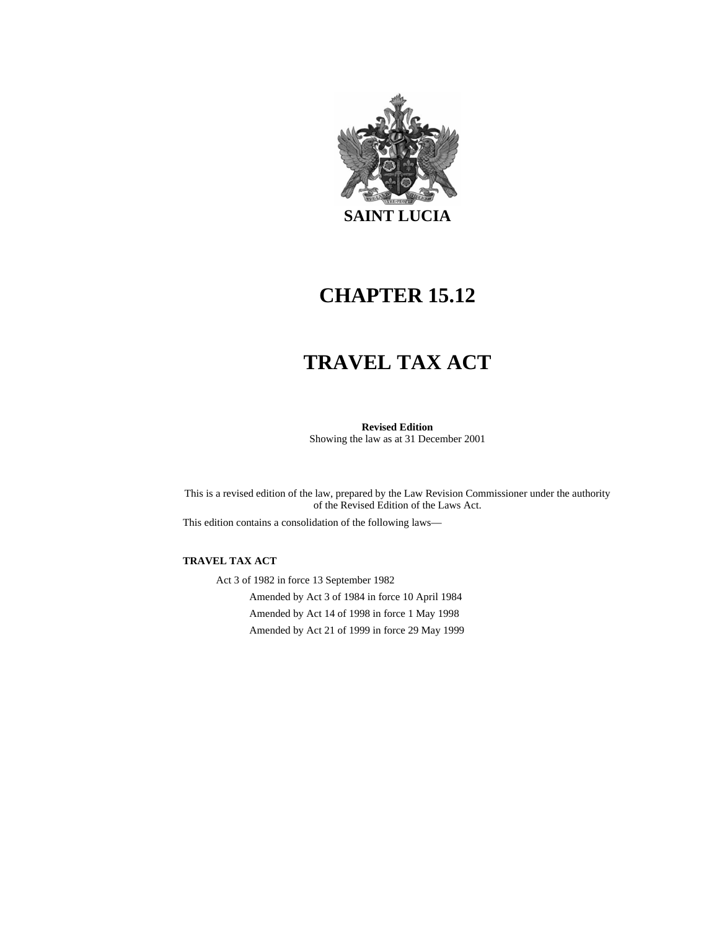

## **CHAPTER 15.12**

# **TRAVEL TAX ACT**

**Revised Edition**  Showing the law as at 31 December 2001

This is a revised edition of the law, prepared by the Law Revision Commissioner under the authority of the Revised Edition of the Laws Act.

This edition contains a consolidation of the following laws—

#### **TRAVEL TAX ACT**

Act 3 of 1982 in force 13 September 1982 Amended by Act 3 of 1984 in force 10 April 1984 Amended by Act 14 of 1998 in force 1 May 1998 Amended by Act 21 of 1999 in force 29 May 1999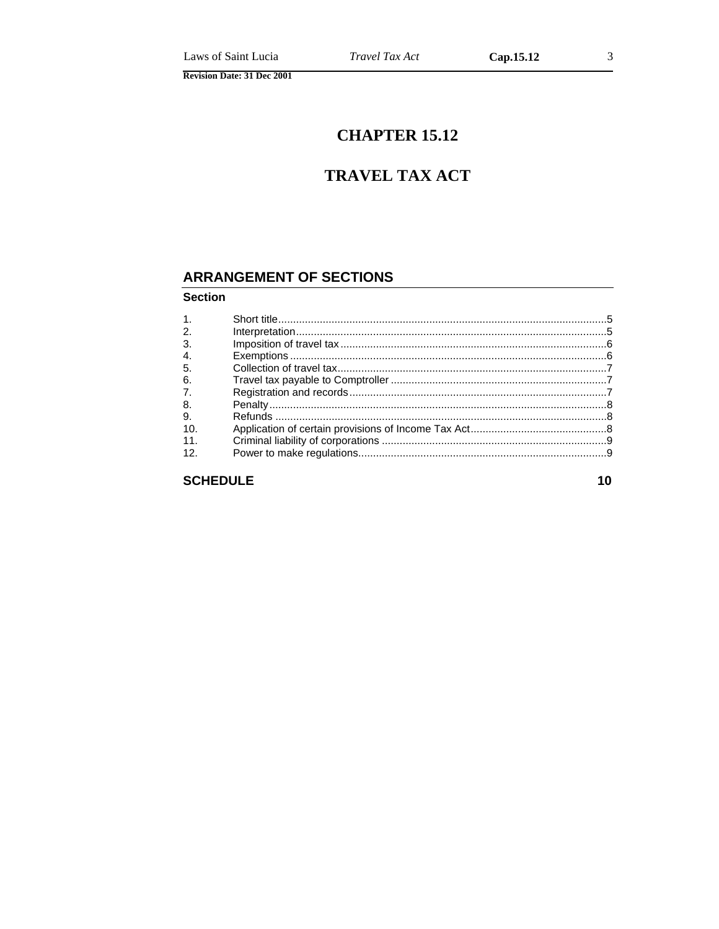# **CHAPTER 15.12**

### **TRAVEL TAX ACT**

#### **ARRANGEMENT OF SECTIONS**

#### **Section**

| 1 <sup>1</sup> |  |
|----------------|--|
| 2.             |  |
| 3.             |  |
| 4.             |  |
| 5.             |  |
| 6.             |  |
| 7.             |  |
| 8.             |  |
| 9.             |  |
| 10.            |  |
| 11.            |  |
| 12.            |  |
|                |  |
|                |  |

**SCHEDULE**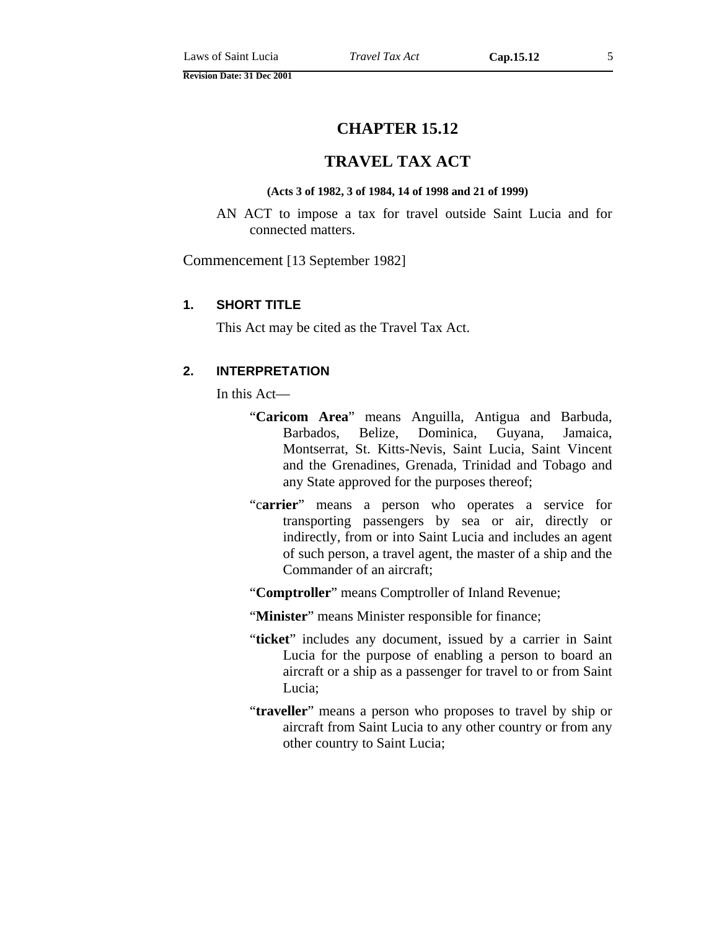#### **TRAVEL TAX ACT**

#### **(Acts 3 of 1982, 3 of 1984, 14 of 1998 and 21 of 1999)**

<span id="page-4-0"></span>AN ACT to impose a tax for travel outside Saint Lucia and for connected matters.

Commencement [13 September 1982]

#### **1. SHORT TITLE**

This Act may be cited as the Travel Tax Act.

#### **2. INTERPRETATION**

In this Act—

- "**Caricom Area**" means Anguilla, Antigua and Barbuda, Barbados, Belize, Dominica, Guyana, Jamaica, Montserrat, St. Kitts-Nevis, Saint Lucia, Saint Vincent and the Grenadines, Grenada, Trinidad and Tobago and any State approved for the purposes thereof;
- "c**arrier**" means a person who operates a service for transporting passengers by sea or air, directly or indirectly, from or into Saint Lucia and includes an agent of such person, a travel agent, the master of a ship and the Commander of an aircraft;
- "**Comptroller**" means Comptroller of Inland Revenue;
- "**Minister**" means Minister responsible for finance;
- "**ticket**" includes any document, issued by a carrier in Saint Lucia for the purpose of enabling a person to board an aircraft or a ship as a passenger for travel to or from Saint Lucia;
- "**traveller**" means a person who proposes to travel by ship or aircraft from Saint Lucia to any other country or from any other country to Saint Lucia;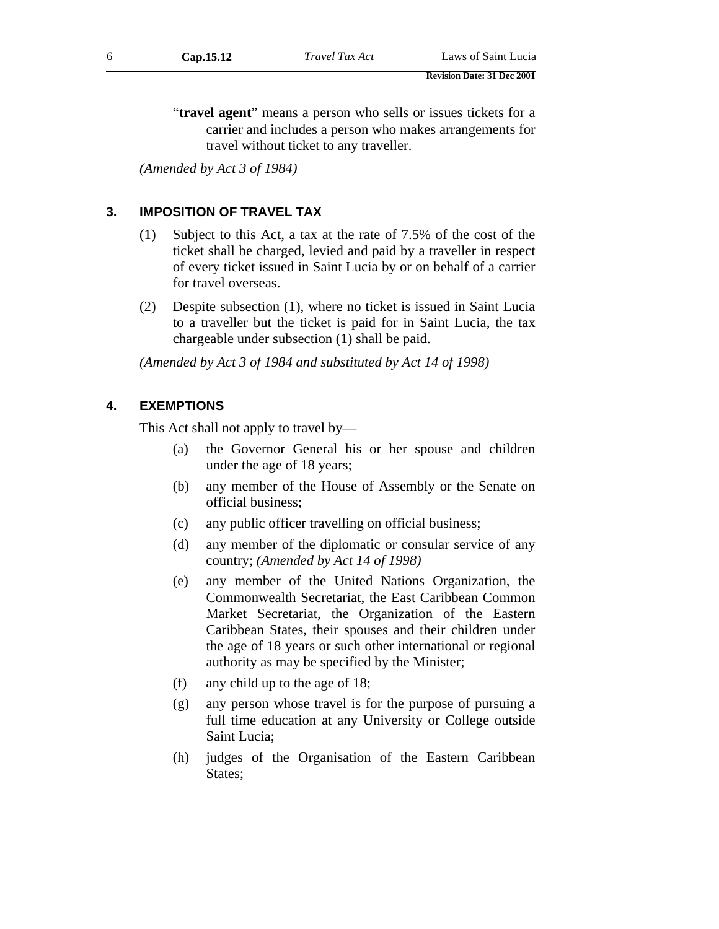<span id="page-5-0"></span>"**travel agent**" means a person who sells or issues tickets for a carrier and includes a person who makes arrangements for travel without ticket to any traveller.

*(Amended by Act 3 of 1984)* 

#### **3. IMPOSITION OF TRAVEL TAX**

- (1) Subject to this Act, a tax at the rate of 7.5% of the cost of the ticket shall be charged, levied and paid by a traveller in respect of every ticket issued in Saint Lucia by or on behalf of a carrier for travel overseas.
- (2) Despite subsection (1), where no ticket is issued in Saint Lucia to a traveller but the ticket is paid for in Saint Lucia, the tax chargeable under subsection (1) shall be paid.

*(Amended by Act 3 of 1984 and substituted by Act 14 of 1998)* 

#### **4. EXEMPTIONS**

This Act shall not apply to travel by—

- (a) the Governor General his or her spouse and children under the age of 18 years;
- (b) any member of the House of Assembly or the Senate on official business;
- (c) any public officer travelling on official business;
- (d) any member of the diplomatic or consular service of any country; *(Amended by Act 14 of 1998)*
- (e) any member of the United Nations Organization, the Commonwealth Secretariat, the East Caribbean Common Market Secretariat, the Organization of the Eastern Caribbean States, their spouses and their children under the age of 18 years or such other international or regional authority as may be specified by the Minister;
- (f) any child up to the age of 18;
- (g) any person whose travel is for the purpose of pursuing a full time education at any University or College outside Saint Lucia;
- (h) judges of the Organisation of the Eastern Caribbean States;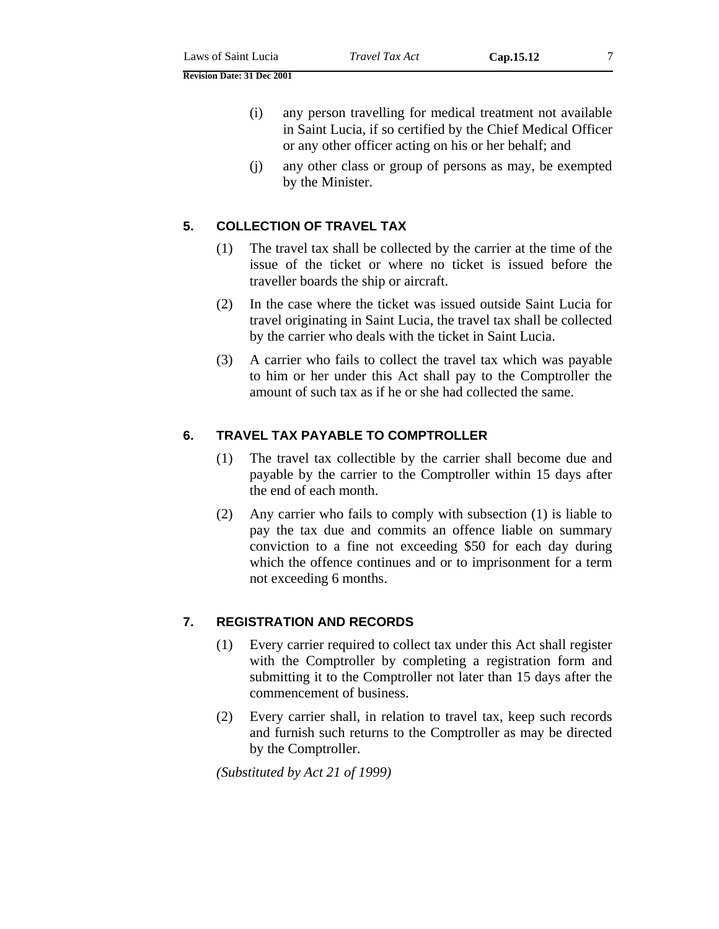<span id="page-6-0"></span>**Revision Date: 31 Dec 2001** 

- (i) any person travelling for medical treatment not available in Saint Lucia, if so certified by the Chief Medical Officer or any other officer acting on his or her behalf; and
- (j) any other class or group of persons as may, be exempted by the Minister.

#### **5. COLLECTION OF TRAVEL TAX**

- (1) The travel tax shall be collected by the carrier at the time of the issue of the ticket or where no ticket is issued before the traveller boards the ship or aircraft.
- (2) In the case where the ticket was issued outside Saint Lucia for travel originating in Saint Lucia, the travel tax shall be collected by the carrier who deals with the ticket in Saint Lucia.
- (3) A carrier who fails to collect the travel tax which was payable to him or her under this Act shall pay to the Comptroller the amount of such tax as if he or she had collected the same.

#### **6. TRAVEL TAX PAYABLE TO COMPTROLLER**

- (1) The travel tax collectible by the carrier shall become due and payable by the carrier to the Comptroller within 15 days after the end of each month.
- (2) Any carrier who fails to comply with subsection (1) is liable to pay the tax due and commits an offence liable on summary conviction to a fine not exceeding \$50 for each day during which the offence continues and or to imprisonment for a term not exceeding 6 months.

#### **7. REGISTRATION AND RECORDS**

- (1) Every carrier required to collect tax under this Act shall register with the Comptroller by completing a registration form and submitting it to the Comptroller not later than 15 days after the commencement of business.
- (2) Every carrier shall, in relation to travel tax, keep such records and furnish such returns to the Comptroller as may be directed by the Comptroller.

*(Substituted by Act 21 of 1999)*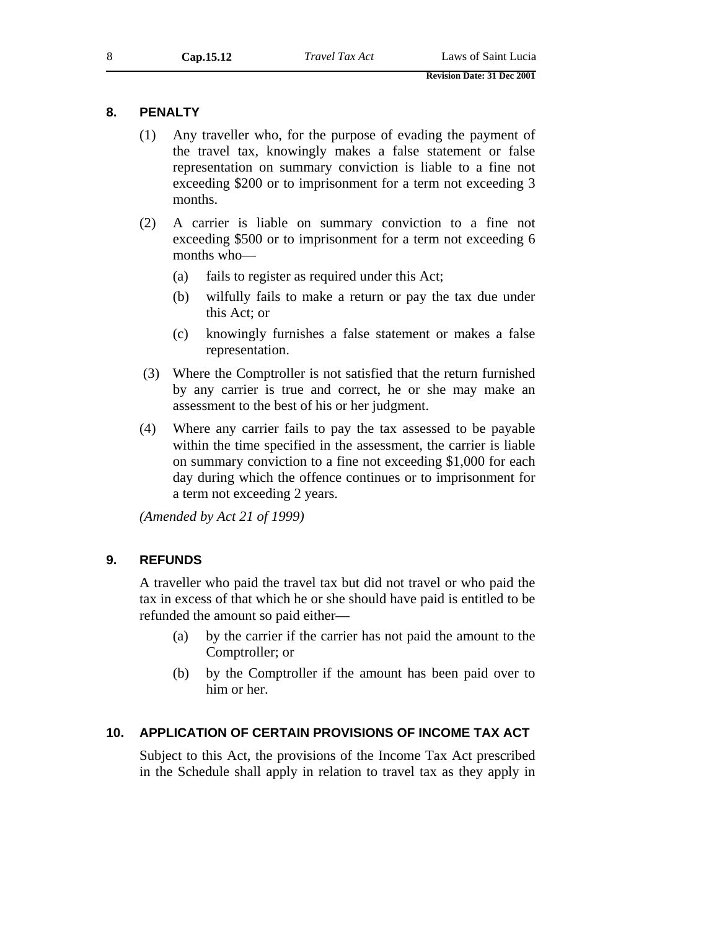#### <span id="page-7-0"></span>**8. PENALTY**

- (1) Any traveller who, for the purpose of evading the payment of the travel tax, knowingly makes a false statement or false representation on summary conviction is liable to a fine not exceeding \$200 or to imprisonment for a term not exceeding 3 months.
- (2) A carrier is liable on summary conviction to a fine not exceeding \$500 or to imprisonment for a term not exceeding 6 months who—
	- (a) fails to register as required under this Act;
	- (b) wilfully fails to make a return or pay the tax due under this Act; or
	- (c) knowingly furnishes a false statement or makes a false representation.
- (3) Where the Comptroller is not satisfied that the return furnished by any carrier is true and correct, he or she may make an assessment to the best of his or her judgment.
- (4) Where any carrier fails to pay the tax assessed to be payable within the time specified in the assessment, the carrier is liable on summary conviction to a fine not exceeding \$1,000 for each day during which the offence continues or to imprisonment for a term not exceeding 2 years.

*(Amended by Act 21 of 1999)* 

#### **9. REFUNDS**

A traveller who paid the travel tax but did not travel or who paid the tax in excess of that which he or she should have paid is entitled to be refunded the amount so paid either—

- (a) by the carrier if the carrier has not paid the amount to the Comptroller; or
- (b) by the Comptroller if the amount has been paid over to him or her.

#### **10. APPLICATION OF CERTAIN PROVISIONS OF INCOME TAX ACT**

Subject to this Act, the provisions of the Income Tax Act prescribed in the Schedule shall apply in relation to travel tax as they apply in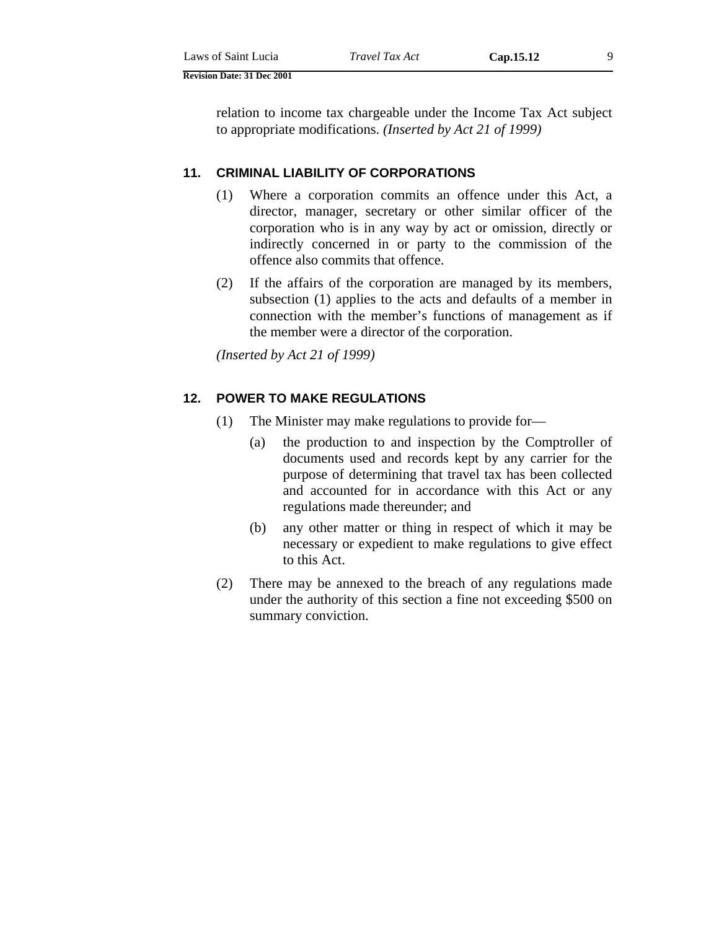<span id="page-8-0"></span>

| Laws of Saint Lucia | Tray |
|---------------------|------|
|                     |      |

**Revision Date: 31 Dec 2001** 

relation to income tax chargeable under the Income Tax Act subject to appropriate modifications. *(Inserted by Act 21 of 1999)*

#### **11. CRIMINAL LIABILITY OF CORPORATIONS**

- (1) Where a corporation commits an offence under this Act, a director, manager, secretary or other similar officer of the corporation who is in any way by act or omission, directly or indirectly concerned in or party to the commission of the offence also commits that offence.
- (2) If the affairs of the corporation are managed by its members, subsection (1) applies to the acts and defaults of a member in connection with the member's functions of management as if the member were a director of the corporation.

*(Inserted by Act 21 of 1999)* 

#### **12. POWER TO MAKE REGULATIONS**

- (1) The Minister may make regulations to provide for—
	- (a) the production to and inspection by the Comptroller of documents used and records kept by any carrier for the purpose of determining that travel tax has been collected and accounted for in accordance with this Act or any regulations made thereunder; and
	- (b) any other matter or thing in respect of which it may be necessary or expedient to make regulations to give effect to this Act.
- (2) There may be annexed to the breach of any regulations made under the authority of this section a fine not exceeding \$500 on summary conviction.